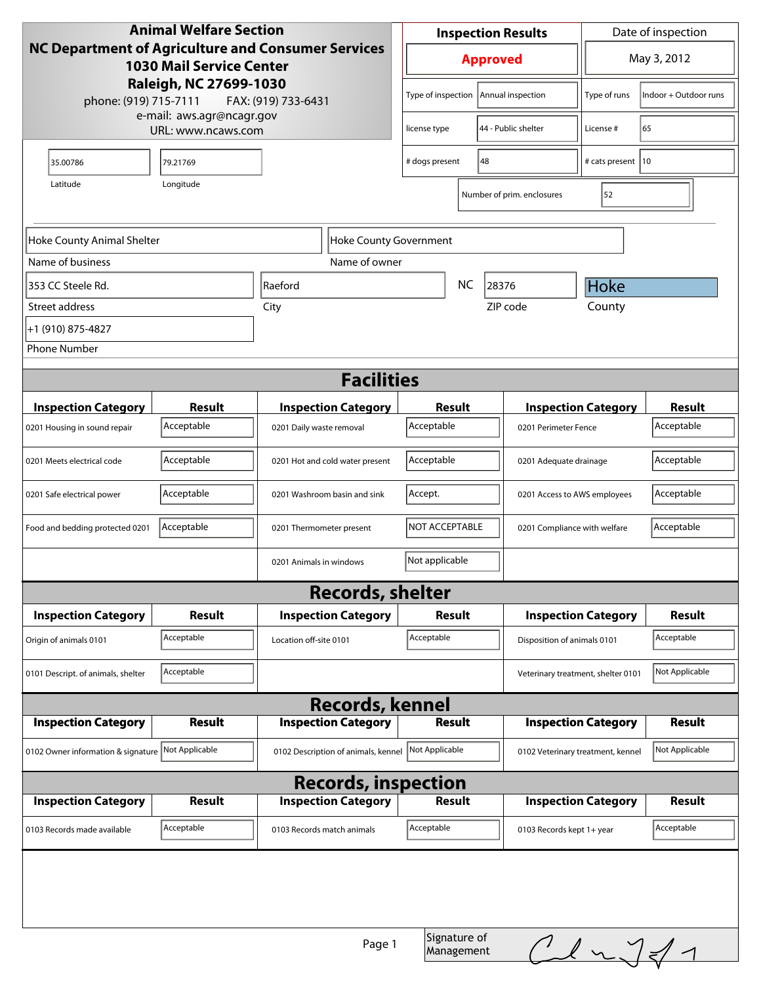| <b>Animal Welfare Section</b><br>NC Department of Agriculture and Consumer Services<br><b>1030 Mail Service Center</b> |               |                            |                                     | <b>Inspection Results</b>               |                                      |                                    | Date of inspection                |                |
|------------------------------------------------------------------------------------------------------------------------|---------------|----------------------------|-------------------------------------|-----------------------------------------|--------------------------------------|------------------------------------|-----------------------------------|----------------|
|                                                                                                                        |               |                            |                                     | <b>Approved</b>                         |                                      |                                    | May 3, 2012                       |                |
| Raleigh, NC 27699-1030<br>phone: (919) 715-7111<br>FAX: (919) 733-6431<br>e-mail: aws.agr@ncagr.gov                    |               |                            | Type of inspection                  |                                         | Annual inspection                    | Type of runs                       | Indoor + Outdoor runs             |                |
| URL: www.ncaws.com                                                                                                     |               |                            | license type                        |                                         | 44 - Public shelter                  | License #                          | 65                                |                |
| 35.00786                                                                                                               | 79.21769      |                            | # dogs present                      | 48                                      |                                      | # cats present   10                |                                   |                |
| Latitude                                                                                                               | Longitude     |                            |                                     |                                         |                                      | Number of prim. enclosures         | 52                                |                |
|                                                                                                                        |               |                            |                                     |                                         |                                      |                                    |                                   |                |
| Hoke County Animal Shelter                                                                                             |               |                            | <b>Hoke County Government</b>       |                                         |                                      |                                    |                                   |                |
| Name of business                                                                                                       |               |                            | Name of owner                       |                                         |                                      |                                    |                                   |                |
| 353 CC Steele Rd.                                                                                                      |               | Raeford                    |                                     |                                         | NC.<br>28376                         |                                    |                                   |                |
| Street address                                                                                                         |               | City                       |                                     |                                         |                                      | ZIP code                           | County                            |                |
| +1 (910) 875-4827                                                                                                      |               |                            |                                     |                                         |                                      |                                    |                                   |                |
| <b>Phone Number</b>                                                                                                    |               |                            |                                     |                                         |                                      |                                    |                                   |                |
|                                                                                                                        |               |                            | <b>Facilities</b>                   |                                         |                                      |                                    |                                   |                |
| <b>Inspection Category</b>                                                                                             | <b>Result</b> |                            | <b>Inspection Category</b>          | <b>Result</b>                           |                                      |                                    | <b>Inspection Category</b>        | <b>Result</b>  |
| 0201 Housing in sound repair                                                                                           | Acceptable    | 0201 Daily waste removal   |                                     | Acceptable                              |                                      | 0201 Perimeter Fence               |                                   | Acceptable     |
| 0201 Meets electrical code                                                                                             | Acceptable    |                            | 0201 Hot and cold water present     |                                         | Acceptable<br>0201 Adequate drainage |                                    |                                   | Acceptable     |
| 0201 Safe electrical power                                                                                             | Acceptable    |                            | 0201 Washroom basin and sink        | Accept.<br>0201 Access to AWS employees |                                      |                                    | Acceptable                        |                |
| Food and bedding protected 0201                                                                                        | Acceptable    | 0201 Thermometer present   |                                     | NOT ACCEPTABLE                          |                                      | 0201 Compliance with welfare       | Acceptable                        |                |
|                                                                                                                        |               | 0201 Animals in windows    |                                     | Not applicable                          |                                      |                                    |                                   |                |
|                                                                                                                        |               |                            | <b>Records, shelter</b>             |                                         |                                      |                                    |                                   |                |
| <b>Inspection Category</b>                                                                                             | Result        |                            | <b>Inspection Category</b>          | <b>Result</b>                           |                                      |                                    | <b>Inspection Category</b>        | <b>Result</b>  |
| Origin of animals 0101                                                                                                 | Acceptable    | Location off-site 0101     |                                     | Acceptable                              |                                      | Disposition of animals 0101        |                                   | Acceptable     |
| 0101 Descript. of animals, shelter                                                                                     | Acceptable    |                            |                                     |                                         |                                      | Veterinary treatment, shelter 0101 |                                   | Not Applicable |
| <b>Records, kennel</b>                                                                                                 |               |                            |                                     |                                         |                                      |                                    |                                   |                |
| <b>Inspection Category</b>                                                                                             | <b>Result</b> |                            | <b>Inspection Category</b>          | <b>Result</b>                           |                                      |                                    | <b>Inspection Category</b>        | <b>Result</b>  |
| 0102 Owner information & signature Not Applicable                                                                      |               |                            | 0102 Description of animals, kennel | Not Applicable                          |                                      |                                    | 0102 Veterinary treatment, kennel | Not Applicable |
| <b>Records, inspection</b>                                                                                             |               |                            |                                     |                                         |                                      |                                    |                                   |                |
| <b>Inspection Category</b>                                                                                             | <b>Result</b> |                            | <b>Inspection Category</b>          | <b>Result</b>                           |                                      |                                    | <b>Inspection Category</b>        | <b>Result</b>  |
| 0103 Records made available                                                                                            | Acceptable    | 0103 Records match animals |                                     | Acceptable                              |                                      | 0103 Records kept 1+ year          |                                   | Acceptable     |
| Signature of                                                                                                           |               |                            |                                     |                                         |                                      |                                    |                                   |                |
|                                                                                                                        |               |                            | Page 1                              |                                         | Management                           |                                    | $CL$ $\sqrt{41}$                  |                |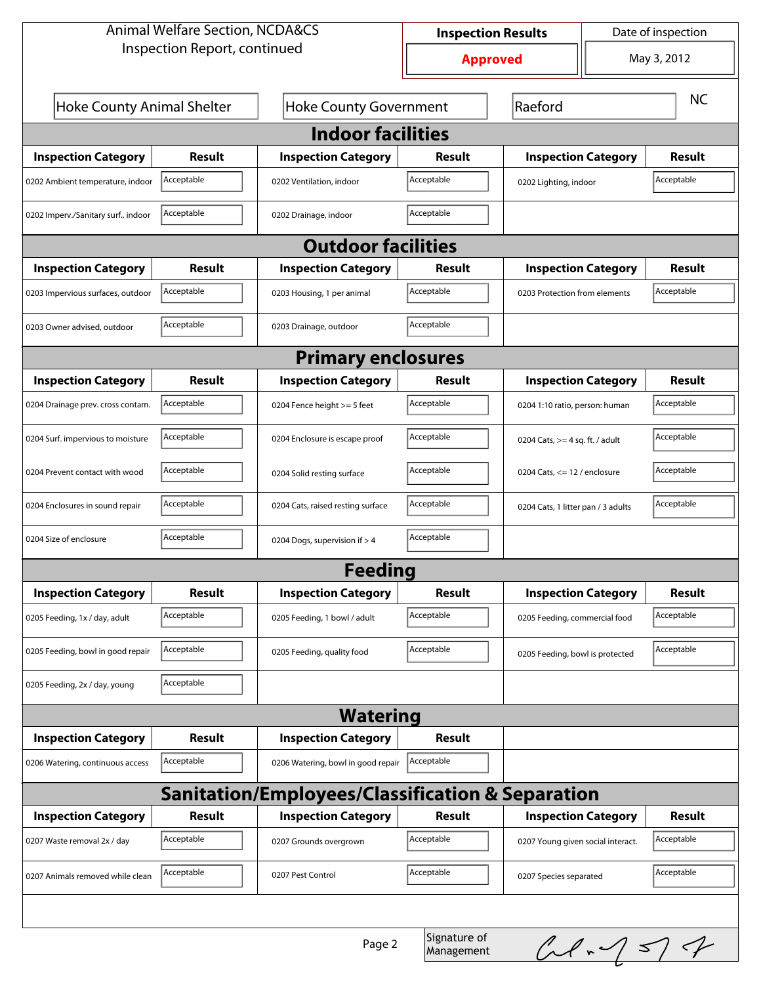| <b>Animal Welfare Section, NCDA&amp;CS</b>                  |                              |                                    | Date of inspection<br><b>Inspection Results</b> |                                    |           |               |  |  |
|-------------------------------------------------------------|------------------------------|------------------------------------|-------------------------------------------------|------------------------------------|-----------|---------------|--|--|
|                                                             | Inspection Report, continued |                                    | <b>Approved</b>                                 |                                    |           | May 3, 2012   |  |  |
| <b>Hoke County Animal Shelter</b>                           |                              | <b>Hoke County Government</b>      | Raeford                                         |                                    | <b>NC</b> |               |  |  |
| <b>Indoor facilities</b>                                    |                              |                                    |                                                 |                                    |           |               |  |  |
| <b>Inspection Category</b>                                  | Result                       | <b>Inspection Category</b>         | <b>Result</b>                                   | <b>Inspection Category</b>         |           | <b>Result</b> |  |  |
| 0202 Ambient temperature, indoor                            | Acceptable                   | 0202 Ventilation, indoor           | Acceptable                                      | 0202 Lighting, indoor              |           | Acceptable    |  |  |
| 0202 Imperv./Sanitary surf., indoor                         | Acceptable                   | 0202 Drainage, indoor              | Acceptable                                      |                                    |           |               |  |  |
| <b>Outdoor facilities</b>                                   |                              |                                    |                                                 |                                    |           |               |  |  |
| <b>Inspection Category</b>                                  | Result                       | <b>Inspection Category</b>         | Result                                          | <b>Inspection Category</b>         |           | Result        |  |  |
| 0203 Impervious surfaces, outdoor                           | Acceptable                   | 0203 Housing, 1 per animal         | Acceptable                                      | 0203 Protection from elements      |           | Acceptable    |  |  |
| 0203 Owner advised, outdoor                                 | Acceptable                   | 0203 Drainage, outdoor             | Acceptable                                      |                                    |           |               |  |  |
| <b>Primary enclosures</b>                                   |                              |                                    |                                                 |                                    |           |               |  |  |
| <b>Inspection Category</b>                                  | Result                       | <b>Inspection Category</b>         | Result                                          | <b>Inspection Category</b>         |           | Result        |  |  |
| 0204 Drainage prev. cross contam.                           | Acceptable                   | 0204 Fence height >= 5 feet        | Acceptable                                      | 0204 1:10 ratio, person: human     |           | Acceptable    |  |  |
| 0204 Surf. impervious to moisture                           | Acceptable                   | 0204 Enclosure is escape proof     | Acceptable                                      | 0204 Cats, $>=$ 4 sq. ft. / adult  |           | Acceptable    |  |  |
| 0204 Prevent contact with wood                              | Acceptable                   | 0204 Solid resting surface         | Acceptable                                      | 0204 Cats, $<= 12$ / enclosure     |           | Acceptable    |  |  |
| 0204 Enclosures in sound repair                             | Acceptable                   | 0204 Cats, raised resting surface  | Acceptable                                      | 0204 Cats, 1 litter pan / 3 adults |           | Acceptable    |  |  |
| 0204 Size of enclosure                                      | Acceptable                   | 0204 Dogs, supervision if > 4      | Acceptable                                      |                                    |           |               |  |  |
|                                                             |                              | <b>Feeding</b>                     |                                                 |                                    |           |               |  |  |
| <b>Inspection Category</b>                                  | <b>Result</b>                | <b>Inspection Category</b>         | <b>Result</b>                                   | <b>Inspection Category</b>         |           | <b>Result</b> |  |  |
| 0205 Feeding, 1x / day, adult                               | Acceptable                   | 0205 Feeding, 1 bowl / adult       | Acceptable                                      | 0205 Feeding, commercial food      |           | Acceptable    |  |  |
| 0205 Feeding, bowl in good repair                           | Acceptable                   | 0205 Feeding, quality food         | Acceptable                                      | 0205 Feeding, bowl is protected    |           | Acceptable    |  |  |
| 0205 Feeding, 2x / day, young                               | Acceptable                   |                                    |                                                 |                                    |           |               |  |  |
| <b>Watering</b>                                             |                              |                                    |                                                 |                                    |           |               |  |  |
| <b>Inspection Category</b>                                  | <b>Result</b>                | <b>Inspection Category</b>         | <b>Result</b>                                   |                                    |           |               |  |  |
| 0206 Watering, continuous access                            | Acceptable                   | 0206 Watering, bowl in good repair | Acceptable                                      |                                    |           |               |  |  |
| <b>Sanitation/Employees/Classification &amp; Separation</b> |                              |                                    |                                                 |                                    |           |               |  |  |
| <b>Inspection Category</b>                                  | <b>Result</b>                | <b>Inspection Category</b>         | <b>Result</b>                                   | <b>Inspection Category</b>         |           | <b>Result</b> |  |  |
| 0207 Waste removal 2x / day                                 | Acceptable                   | 0207 Grounds overgrown             | Acceptable                                      | 0207 Young given social interact.  |           | Acceptable    |  |  |
| 0207 Animals removed while clean                            | Acceptable                   | 0207 Pest Control                  | Acceptable                                      | 0207 Species separated             |           | Acceptable    |  |  |
|                                                             |                              |                                    |                                                 |                                    |           |               |  |  |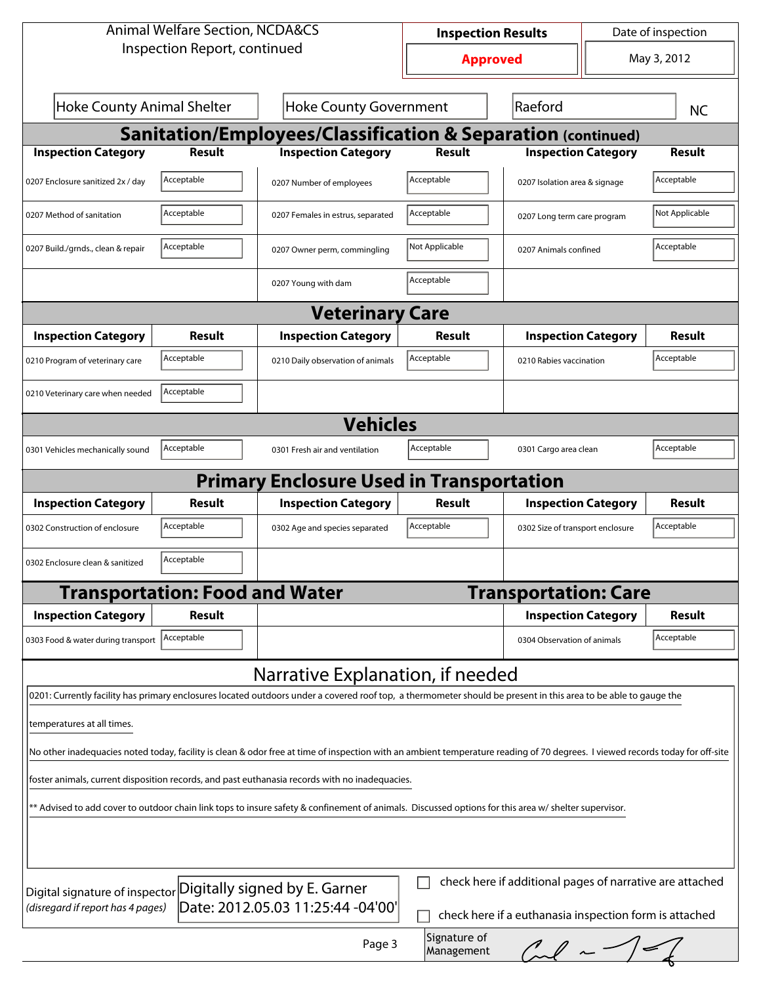| <b>Animal Welfare Section, NCDA&amp;CS</b>                                                                                                                                                          |                              | <b>Inspection Results</b>                                    | Date of inspection |                                  |             |                |  |  |
|-----------------------------------------------------------------------------------------------------------------------------------------------------------------------------------------------------|------------------------------|--------------------------------------------------------------|--------------------|----------------------------------|-------------|----------------|--|--|
|                                                                                                                                                                                                     | Inspection Report, continued |                                                              | <b>Approved</b>    |                                  | May 3, 2012 |                |  |  |
| <b>Hoke County Animal Shelter</b>                                                                                                                                                                   |                              | <b>Hoke County Government</b>                                | Raeford            |                                  | <b>NC</b>   |                |  |  |
|                                                                                                                                                                                                     |                              | Sanitation/Employees/Classification & Separation (continued) |                    |                                  |             |                |  |  |
| <b>Inspection Category</b>                                                                                                                                                                          | <b>Result</b>                | <b>Inspection Category</b>                                   | <b>Result</b>      | <b>Inspection Category</b>       |             | <b>Result</b>  |  |  |
| 0207 Enclosure sanitized 2x / day                                                                                                                                                                   | Acceptable                   | 0207 Number of employees                                     | Acceptable         | 0207 Isolation area & signage    |             | Acceptable     |  |  |
| 0207 Method of sanitation                                                                                                                                                                           | Acceptable                   | 0207 Females in estrus, separated                            | Acceptable         | 0207 Long term care program      |             | Not Applicable |  |  |
| 0207 Build./grnds., clean & repair                                                                                                                                                                  | Acceptable                   | 0207 Owner perm, commingling                                 | Not Applicable     | 0207 Animals confined            |             | Acceptable     |  |  |
|                                                                                                                                                                                                     |                              | 0207 Young with dam                                          | Acceptable         |                                  |             |                |  |  |
|                                                                                                                                                                                                     |                              | <b>Veterinary Care</b>                                       |                    |                                  |             |                |  |  |
| <b>Inspection Category</b>                                                                                                                                                                          | Result                       | <b>Inspection Category</b>                                   | <b>Result</b>      | <b>Inspection Category</b>       |             | Result         |  |  |
| 0210 Program of veterinary care                                                                                                                                                                     | Acceptable                   | 0210 Daily observation of animals                            | Acceptable         | 0210 Rabies vaccination          |             | Acceptable     |  |  |
| 0210 Veterinary care when needed                                                                                                                                                                    | Acceptable                   |                                                              |                    |                                  |             |                |  |  |
| <b>Vehicles</b>                                                                                                                                                                                     |                              |                                                              |                    |                                  |             |                |  |  |
| 0301 Vehicles mechanically sound                                                                                                                                                                    | Acceptable                   | 0301 Fresh air and ventilation                               | Acceptable         | 0301 Cargo area clean            |             | Acceptable     |  |  |
|                                                                                                                                                                                                     |                              | <b>Primary Enclosure Used in Transportation</b>              |                    |                                  |             |                |  |  |
| <b>Inspection Category</b>                                                                                                                                                                          | Result                       | <b>Inspection Category</b>                                   | Result             | <b>Inspection Category</b>       |             | Result         |  |  |
| 0302 Construction of enclosure                                                                                                                                                                      | Acceptable                   | 0302 Age and species separated                               | Acceptable         | 0302 Size of transport enclosure |             | Acceptable     |  |  |
| Acceptable<br>0302 Enclosure clean & sanitized                                                                                                                                                      |                              |                                                              |                    |                                  |             |                |  |  |
| <b>Transportation: Food and Water</b>                                                                                                                                                               |                              |                                                              |                    | <b>Transportation: Care</b>      |             |                |  |  |
| <b>Inspection Category</b>                                                                                                                                                                          | Result                       |                                                              |                    | <b>Inspection Category</b>       |             | <b>Result</b>  |  |  |
| 0303 Food & water during transport                                                                                                                                                                  | Acceptable                   |                                                              |                    | 0304 Observation of animals      |             | Acceptable     |  |  |
|                                                                                                                                                                                                     |                              | Narrative Explanation, if needed                             |                    |                                  |             |                |  |  |
| 0201: Currently facility has primary enclosures located outdoors under a covered roof top, a thermometer should be present in this area to be able to gauge the                                     |                              |                                                              |                    |                                  |             |                |  |  |
| temperatures at all times.                                                                                                                                                                          |                              |                                                              |                    |                                  |             |                |  |  |
| No other inadequacies noted today, facility is clean & odor free at time of inspection with an ambient temperature reading of 70 degrees. I viewed records today for off-site                       |                              |                                                              |                    |                                  |             |                |  |  |
| foster animals, current disposition records, and past euthanasia records with no inadequacies.                                                                                                      |                              |                                                              |                    |                                  |             |                |  |  |
| ** Advised to add cover to outdoor chain link tops to insure safety & confinement of animals. Discussed options for this area w/ shelter supervisor.                                                |                              |                                                              |                    |                                  |             |                |  |  |
|                                                                                                                                                                                                     |                              |                                                              |                    |                                  |             |                |  |  |
| check here if additional pages of narrative are attached                                                                                                                                            |                              |                                                              |                    |                                  |             |                |  |  |
| Digitally signed by E. Garner<br>Digital signature of inspector<br>Date: 2012.05.03 11:25:44 -04'00'<br>(disregard if report has 4 pages)<br>check here if a euthanasia inspection form is attached |                              |                                                              |                    |                                  |             |                |  |  |
|                                                                                                                                                                                                     |                              |                                                              |                    |                                  |             |                |  |  |